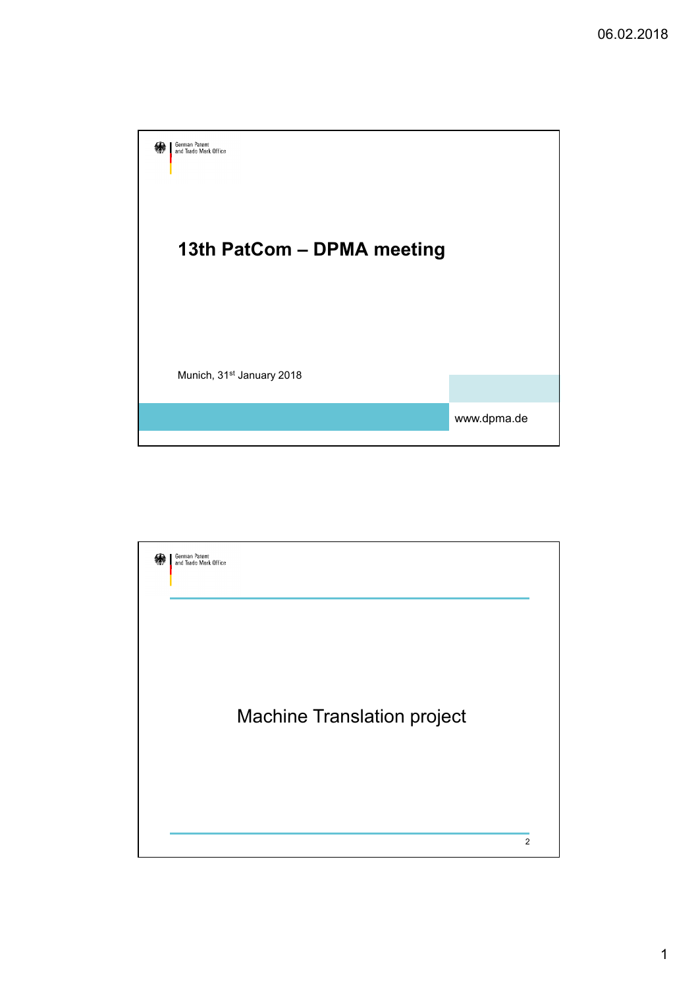

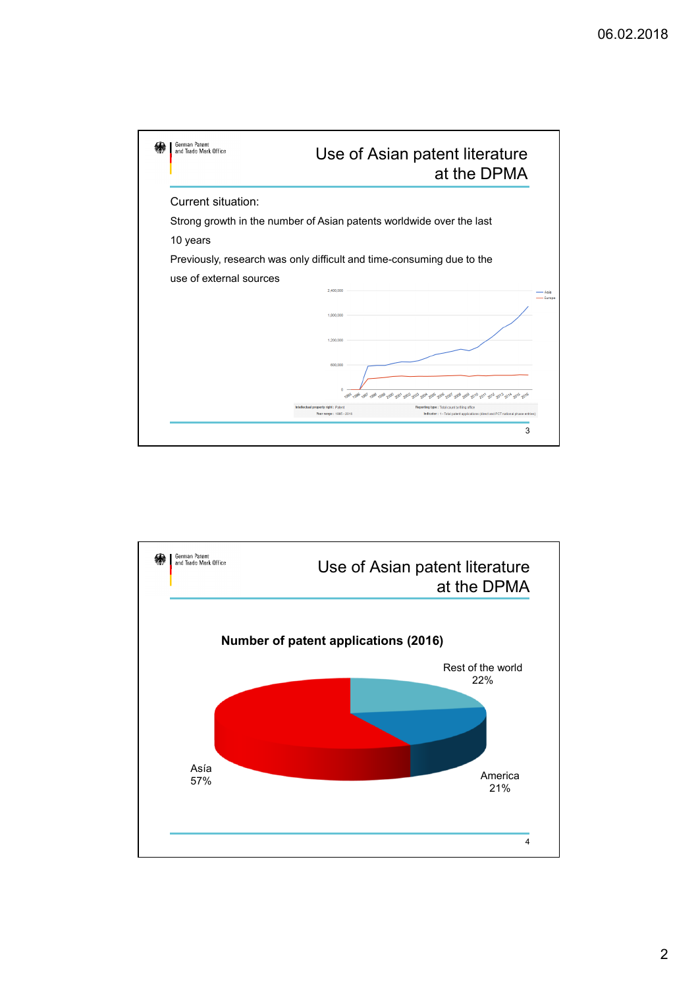

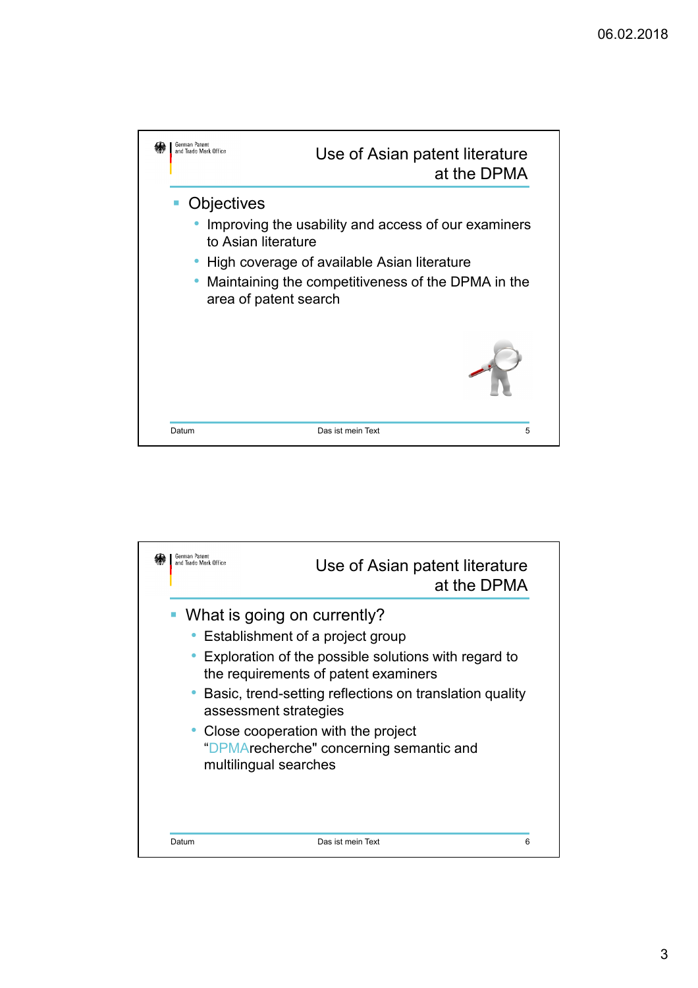

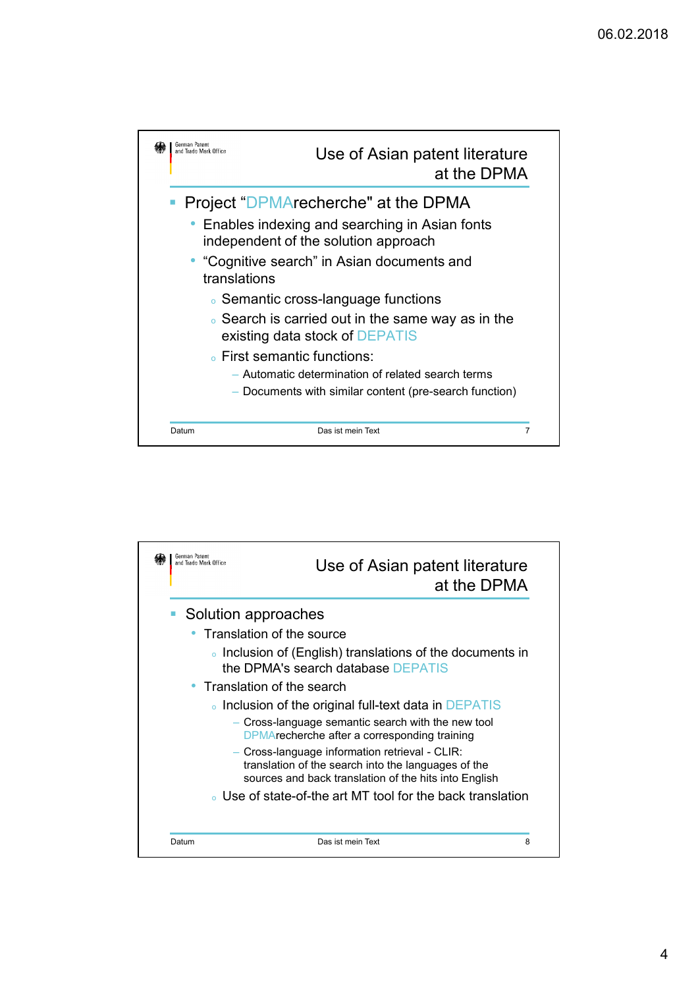

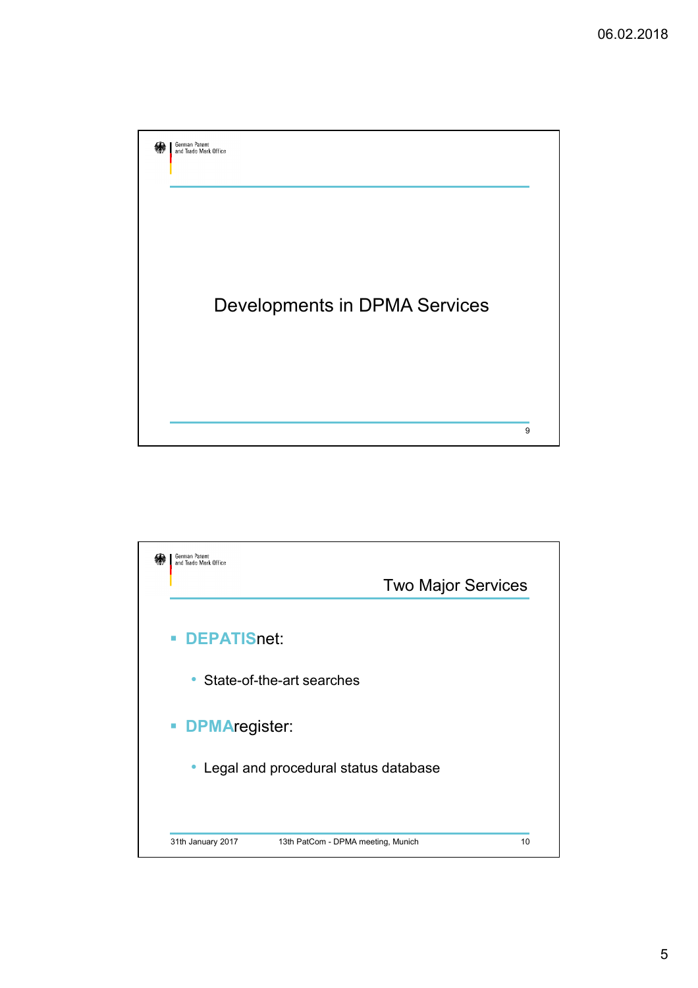

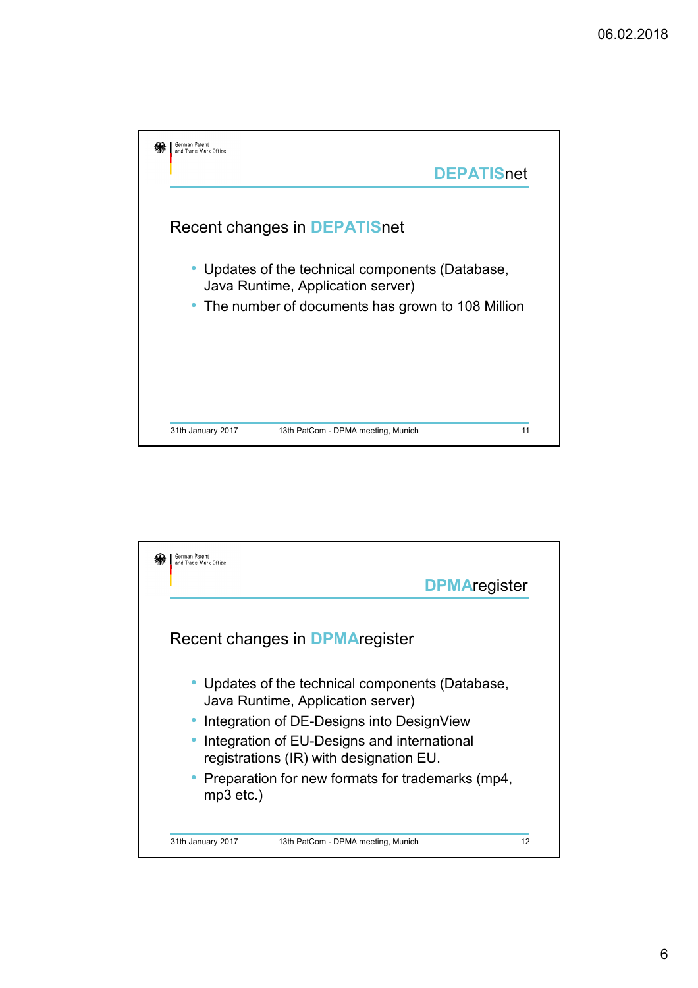

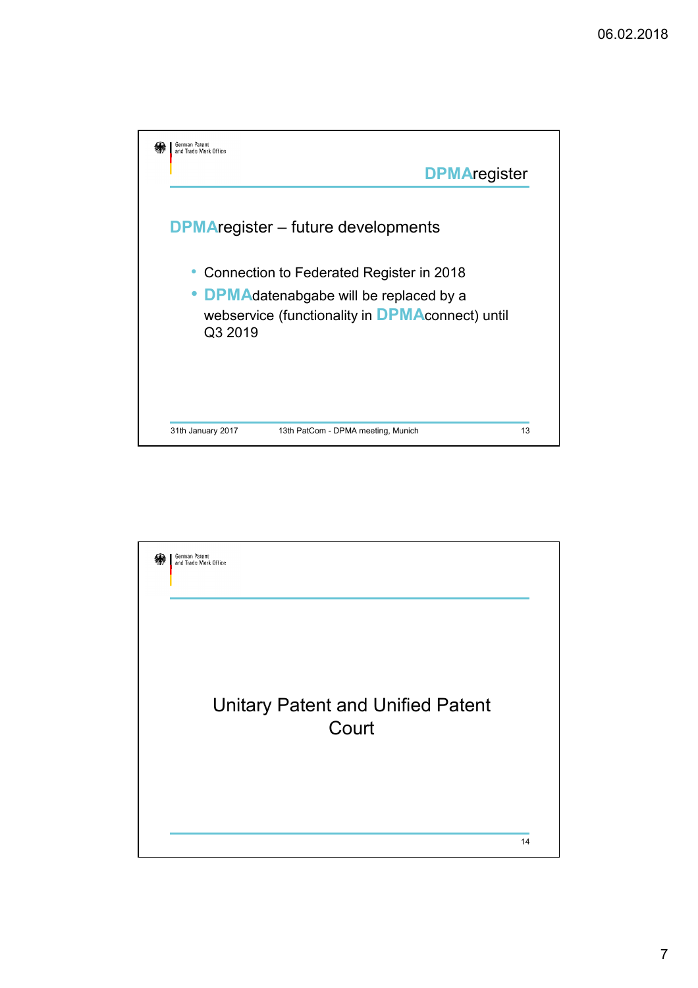

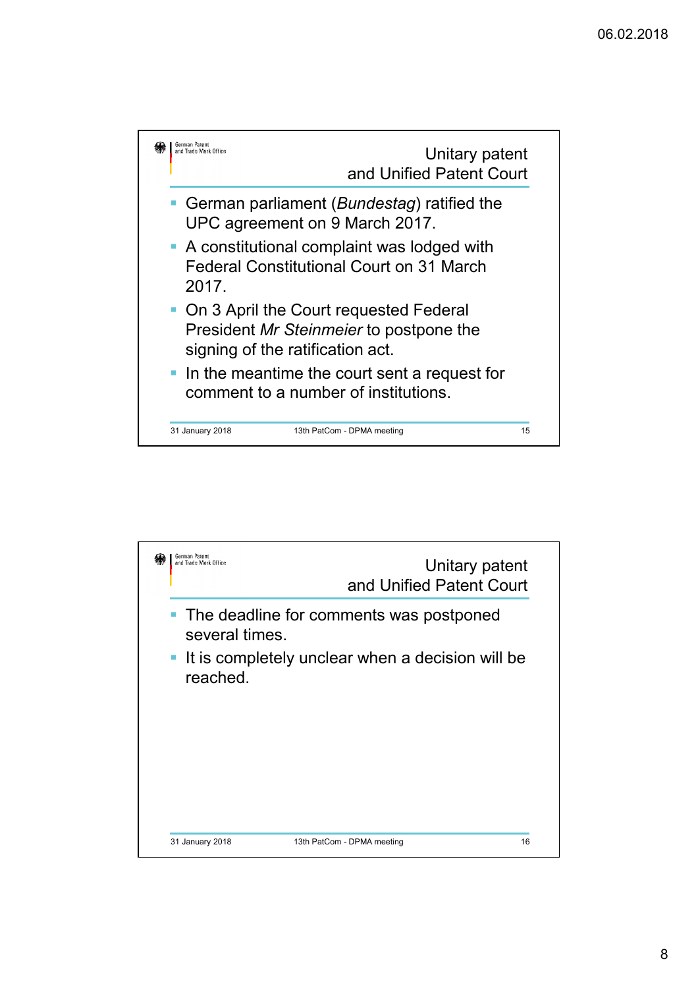